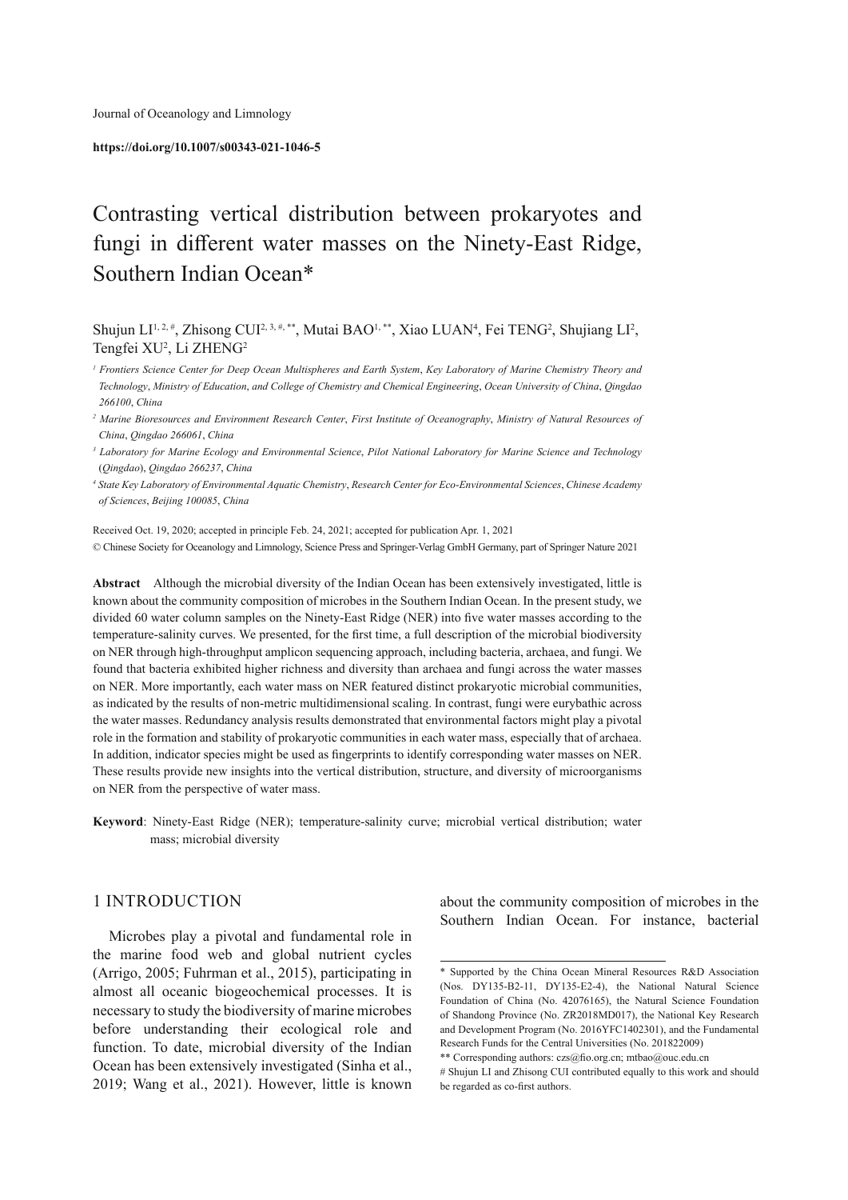#### **https://doi.org/10.1007/s00343-021-1046-5**

# Contrasting vertical distribution between prokaryotes and fungi in different water masses on the Ninety-East Ridge, Southern Indian Ocean\*

Shujun LI<sup>1, 2, #</sup>, Zhisong CUI<sup>2, 3, #,\*\*</sup>, Mutai BAO<sup>1,\*\*</sup>, Xiao LUAN<sup>4</sup>, Fei TENG<sup>2</sup>, Shujiang LI<sup>2</sup>, Tengfei XU<sup>2</sup>, Li ZHENG<sup>2</sup>

*1 Frontiers Science Center for Deep Ocean Multispheres and Earth System*, *Key Laboratory of Marine Chemistry Theory and Technology*, *Ministry of Education*, *and College of Chemistry and Chemical Engineering*, *Ocean University of China*, *Qingdao 266100*, *China* 

*2 Marine Bioresources and Environment Research Center*, *First Institute of Oceanography*, *Ministry of Natural Resources of China*, *Qingdao 266061*, *China* 

*3 Laboratory for Marine Ecology and Environmental Science*, *Pilot National Laboratory for Marine Science and Technology*  (*Qingdao*), *Qingdao 266237*, *China* 

*4 State Key Laboratory of Environmental Aquatic Chemistry*, *Research Center for Eco*-*Environmental Sciences*, *Chinese Academy of Sciences*, *Beijing 100085*, *China* 

 Received Oct. 19, 2020; accepted in principle Feb. 24, 2021; accepted for publication Apr. 1, 2021 © Chinese Society for Oceanology and Limnology, Science Press and Springer-Verlag GmbH Germany, part of Springer Nature 2021

**Abstract** Although the microbial diversity of the Indian Ocean has been extensively investigated, little is known about the community composition of microbes in the Southern Indian Ocean. In the present study, we divided 60 water column samples on the Ninety-East Ridge (NER) into five water masses according to the temperature-salinity curves. We presented, for the first time, a full description of the microbial biodiversity on NER through high-throughput amplicon sequencing approach, including bacteria, archaea, and fungi. We found that bacteria exhibited higher richness and diversity than archaea and fungi across the water masses on NER. More importantly, each water mass on NER featured distinct prokaryotic microbial communities, as indicated by the results of non-metric multidimensional scaling. In contrast, fungi were eurybathic across the water masses. Redundancy analysis results demonstrated that environmental factors might play a pivotal role in the formation and stability of prokaryotic communities in each water mass, especially that of archaea. In addition, indicator species might be used as fingerprints to identify corresponding water masses on NER. These results provide new insights into the vertical distribution, structure, and diversity of microorganisms on NER from the perspective of water mass.

**Keyword** : Ninety-East Ridge (NER); temperature-salinity curve; microbial vertical distribution; water mass; microbial diversity

## 1 INTRODUCTION

 Microbes play a pivotal and fundamental role in the marine food web and global nutrient cycles (Arrigo, 2005; Fuhrman et al., 2015), participating in almost all oceanic biogeochemical processes. It is necessary to study the biodiversity of marine microbes before understanding their ecological role and function. To date, microbial diversity of the Indian Ocean has been extensively investigated (Sinha et al., 2019; Wang et al., 2021). However, little is known

about the community composition of microbes in the Southern Indian Ocean. For instance, bacterial

 <sup>\*</sup> Supported by the China Ocean Mineral Resources R&D Association (Nos. DY135-B2-11, DY135-E2-4), the National Natural Science Foundation of China (No. 42076165), the Natural Science Foundation of Shandong Province (No. ZR2018MD017), the National Key Research and Development Program (No. 2016YFC1402301), and the Fundamental Research Funds for the Central Universities (No. 201822009)

 $\ast\ast$  Corresponding authors: czs@fio.org.cn; mtbao@ouc.edu.cn

<sup>#</sup> Shujun LI and Zhisong CUI contributed equally to this work and should be regarded as co-first authors.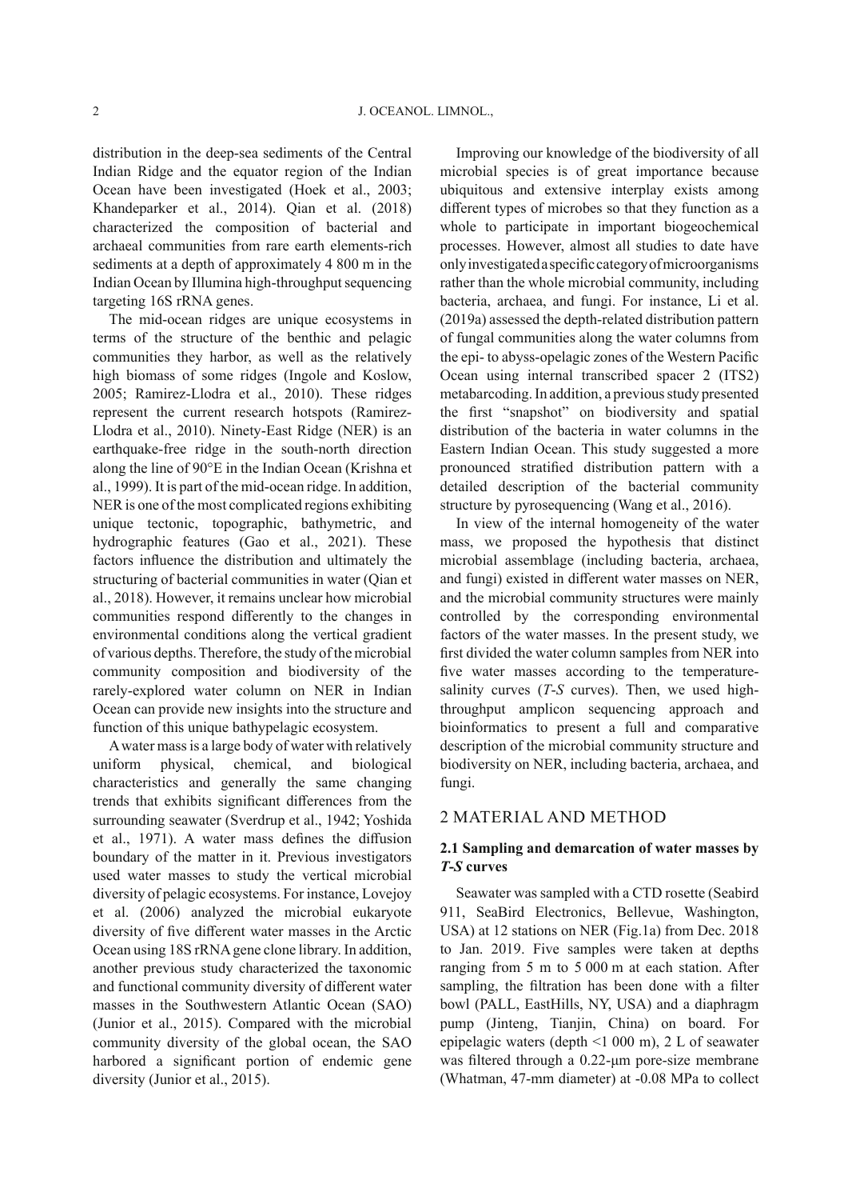distribution in the deep-sea sediments of the Central Indian Ridge and the equator region of the Indian Ocean have been investigated (Hoek et al., 2003; Khandeparker et al., 2014). Qian et al. (2018) characterized the composition of bacterial and archaeal communities from rare earth elements-rich sediments at a depth of approximately 4 800 m in the Indian Ocean by Illumina high-throughput sequencing targeting 16S rRNA genes.

 The mid-ocean ridges are unique ecosystems in terms of the structure of the benthic and pelagic communities they harbor, as well as the relatively high biomass of some ridges (Ingole and Koslow, 2005; Ramirez-Llodra et al., 2010). These ridges represent the current research hotspots (Ramirez-Llodra et al., 2010). Ninety-East Ridge (NER) is an earthquake-free ridge in the south-north direction along the line of 90°E in the Indian Ocean (Krishna et al., 1999). It is part of the mid-ocean ridge. In addition, NER is one of the most complicated regions exhibiting unique tectonic, topographic, bathymetric, and hydrographic features (Gao et al., 2021). These factors influence the distribution and ultimately the structuring of bacterial communities in water (Qian et al., 2018). However, it remains unclear how microbial communities respond differently to the changes in environmental conditions along the vertical gradient of various depths. Therefore, the study of the microbial community composition and biodiversity of the rarely-explored water column on NER in Indian Ocean can provide new insights into the structure and function of this unique bathypelagic ecosystem.

 A water mass is a large body of water with relatively uniform physical, chemical, and biological characteristics and generally the same changing trends that exhibits significant differences from the surrounding seawater (Sverdrup et al., 1942; Yoshida et al., 1971). A water mass defines the diffusion boundary of the matter in it. Previous investigators used water masses to study the vertical microbial diversity of pelagic ecosystems. For instance, Lovejoy et al. (2006) analyzed the microbial eukaryote diversity of five different water masses in the Arctic Ocean using 18S rRNA gene clone library. In addition, another previous study characterized the taxonomic and functional community diversity of different water masses in the Southwestern Atlantic Ocean (SAO) (Junior et al., 2015). Compared with the microbial community diversity of the global ocean, the SAO harbored a significant portion of endemic gene diversity (Junior et al., 2015).

 Improving our knowledge of the biodiversity of all microbial species is of great importance because ubiquitous and extensive interplay exists among different types of microbes so that they function as a whole to participate in important biogeochemical processes. However, almost all studies to date have only investigated a specific category of microorganisms rather than the whole microbial community, including bacteria, archaea, and fungi. For instance, Li et al. (2019a) assessed the depth-related distribution pattern of fungal communities along the water columns from the epi- to abyss-opelagic zones of the Western Pacific Ocean using internal transcribed spacer 2 (ITS2) metabarcoding. In addition, a previous study presented the first "snapshot" on biodiversity and spatial distribution of the bacteria in water columns in the Eastern Indian Ocean. This study suggested a more pronounced stratified distribution pattern with a detailed description of the bacterial community structure by pyrosequencing (Wang et al., 2016).

 In view of the internal homogeneity of the water mass, we proposed the hypothesis that distinct microbial assemblage (including bacteria, archaea, and fungi) existed in different water masses on NER, and the microbial community structures were mainly controlled by the corresponding environmental factors of the water masses. In the present study, we first divided the water column samples from NER into five water masses according to the temperaturesalinity curves  $(T-S$  curves). Then, we used highthroughput amplicon sequencing approach and bioinformatics to present a full and comparative description of the microbial community structure and biodiversity on NER, including bacteria, archaea, and fungi.

## 2 MATERIAL AND METHOD

## **2.1 Sampling and demarcation of water masses by**  *T* **-** *S* **curves**

 Seawater was sampled with a CTD rosette (Seabird 911, SeaBird Electronics, Bellevue, Washington, USA) at 12 stations on NER (Fig.1a) from Dec. 2018 to Jan. 2019. Five samples were taken at depths ranging from 5 m to 5 000 m at each station. After sampling, the filtration has been done with a filter bowl (PALL, EastHills, NY, USA) and a diaphragm pump (Jinteng, Tianjin, China) on board. For epipelagic waters (depth <1 000 m), 2 L of seawater was filtered through a 0.22-μm pore-size membrane (Whatman, 47-mm diameter) at -0.08 MPa to collect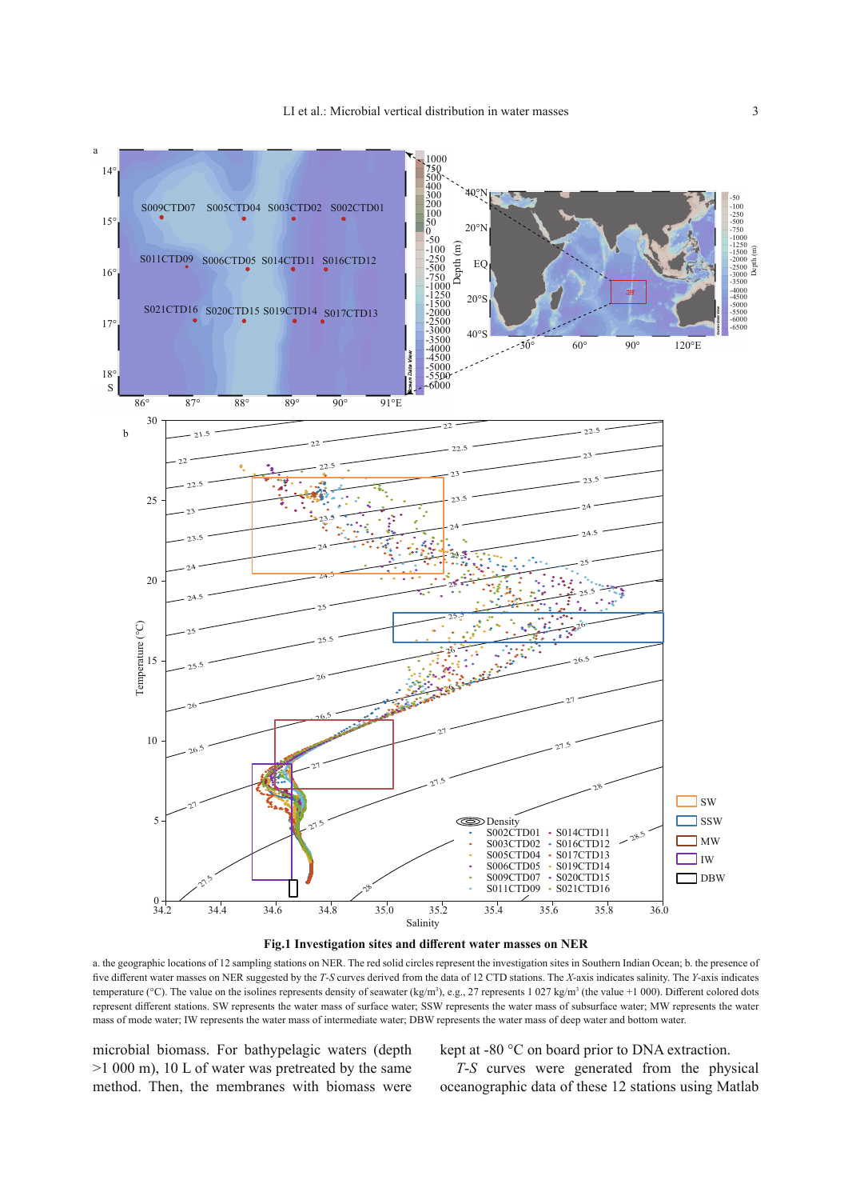



 a. the geographic locations of 12 sampling stations on NER. The red solid circles represent the investigation sites in Southern Indian Ocean; b. the presence of five different water masses on NER suggested by the *T*-*S* curves derived from the data of 12 CTD stations. The *X*-axis indicates salinity. The *Y*-axis indicates temperature (°C). The value on the isolines represents density of seawater (kg/m<sup>3</sup>), e.g., 27 represents 1 027 kg/m<sup>3</sup> (the value +1 000). Different colored dots represent different stations. SW represents the water mass of surface water; SSW represents the water mass of subsurface water; MW represents the water mass of mode water; IW represents the water mass of intermediate water; DBW represents the water mass of deep water and bottom water.

microbial biomass. For bathypelagic waters (depth >1 000 m), 10 L of water was pretreated by the same method. Then, the membranes with biomass were kept at -80 °C on board prior to DNA extraction.

*T*-S curves were generated from the physical oceanographic data of these 12 stations using Matlab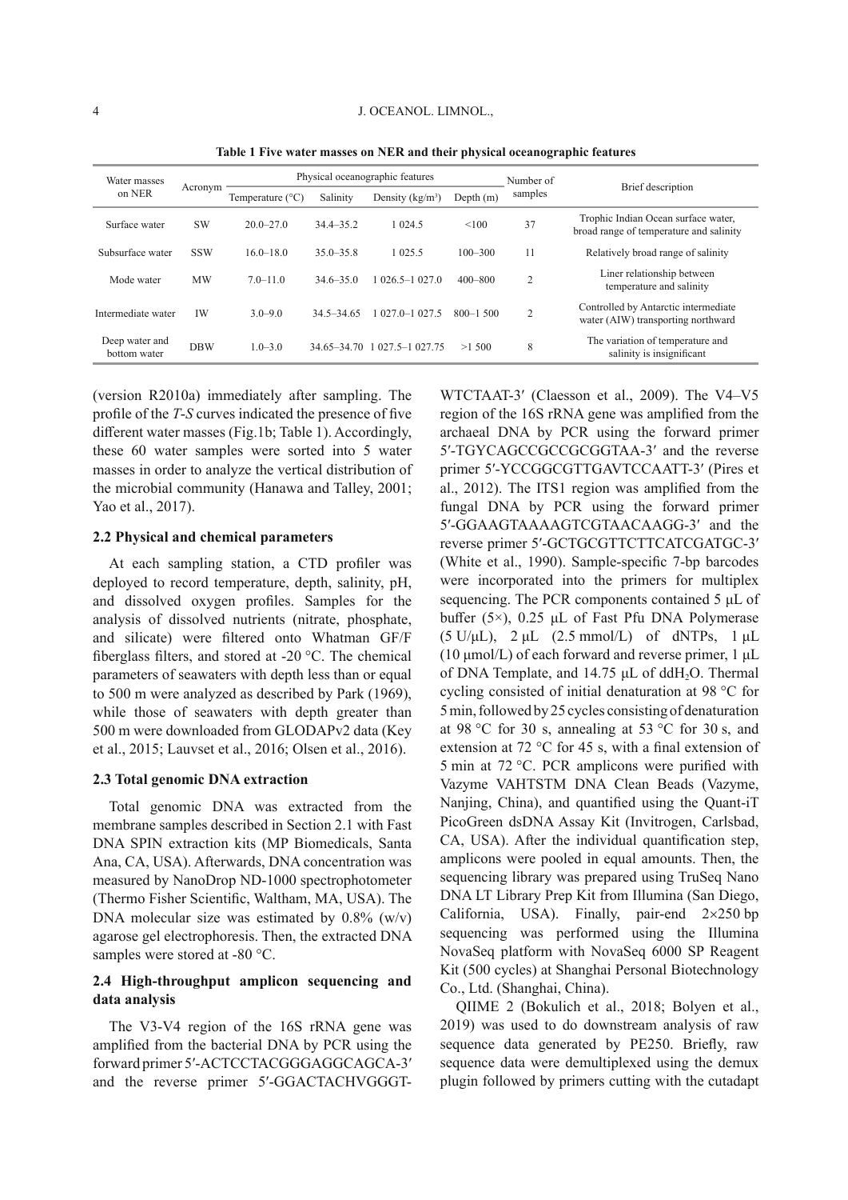| Water masses<br>on NER         | Acronym    | Physical oceanographic features |                |                              |              | Number of      |                                                                                |  |
|--------------------------------|------------|---------------------------------|----------------|------------------------------|--------------|----------------|--------------------------------------------------------------------------------|--|
|                                |            | Temperature $(^{\circ}C)$       | Salinity       | Density $(kg/m^3)$           | Depth $(m)$  | samples        | <b>Brief</b> description                                                       |  |
| Surface water                  | SW         | $20.0 - 27.0$                   | $34.4 - 35.2$  | 1 0 24.5                     | < 100        | 37             | Trophic Indian Ocean surface water,<br>broad range of temperature and salinity |  |
| Subsurface water               | <b>SSW</b> | $16.0 - 18.0$                   | $35.0 - 35.8$  | 1 0 2 5 .5                   | $100 - 300$  | 11             | Relatively broad range of salinity                                             |  |
| Mode water                     | <b>MW</b>  | $7.0 - 11.0$                    | $34.6 - 35.0$  | $026.5 - 1027.0$             | $400 - 800$  | 2              | Liner relationship between<br>temperature and salinity                         |  |
| Intermediate water             | <b>IW</b>  | $3.0 - 9.0$                     | $34.5 - 34.65$ | 1 027.0-1 027.5              | $800 - 1500$ | $\overline{c}$ | Controlled by Antarctic intermediate<br>water (AIW) transporting northward     |  |
| Deep water and<br>bottom water | <b>DBW</b> | $1.0 - 3.0$                     |                | 34.65-34.70 1 027.5-1 027.75 | >1,500       | 8              | The variation of temperature and<br>salinity is insignificant                  |  |

 **Table 1 Five water masses on NER and their physical oceanographic features** 

(version R2010a) immediately after sampling. The profile of the *T*-*S* curves indicated the presence of five different water masses (Fig.1b; Table 1). Accordingly, these 60 water samples were sorted into 5 water masses in order to analyze the vertical distribution of the microbial community (Hanawa and Talley, 2001; Yao et al., 2017).

#### **2.2 Physical and chemical parameters**

At each sampling station, a CTD profiler was deployed to record temperature, depth, salinity, pH, and dissolved oxygen profiles. Samples for the analysis of dissolved nutrients (nitrate, phosphate, and silicate) were filtered onto Whatman GF/F fiberglass filters, and stored at -20  $^{\circ}$ C. The chemical parameters of seawaters with depth less than or equal to 500 m were analyzed as described by Park (1969), while those of seawaters with depth greater than 500 m were downloaded from GLODAPv2 data (Key et al., 2015; Lauvset et al., 2016; Olsen et al., 2016).

#### **2.3 Total genomic DNA extraction**

 Total genomic DNA was extracted from the membrane samples described in Section 2.1 with Fast DNA SPIN extraction kits (MP Biomedicals, Santa Ana, CA, USA). Afterwards, DNA concentration was measured by NanoDrop ND-1000 spectrophotometer (Thermo Fisher Scientific, Waltham, MA, USA). The DNA molecular size was estimated by  $0.8\%$  (w/v) agarose gel electrophoresis. Then, the extracted DNA samples were stored at -80 °C.

## **2.4 High-throughput amplicon sequencing and data analysis**

 The V3-V4 region of the 16S rRNA gene was amplified from the bacterial DNA by PCR using the forward primer 5′-ACTCCTACGGGAGGCAGCA-3′ and the reverse primer 5′-GGACTACHVGGGT-

WTCTAAT-3′ (Claesson et al., 2009). The V4–V5 region of the 16S rRNA gene was amplified from the archaeal DNA by PCR using the forward primer 5′-TGYCAGCCGCCGCGGTAA-3′ and the reverse primer 5′-YCCGGCGTTGAVTCCAATT-3′ (Pires et al., 2012). The ITS1 region was amplified from the fungal DNA by PCR using the forward primer 5′-GGAAGTAAAAGTCGTAACAAGG-3′ and the reverse primer 5′-GCTGCGTTCTTCATCGATGC-3′ (White et al., 1990). Sample-specific 7-bp barcodes were incorporated into the primers for multiplex sequencing. The PCR components contained 5 μL of buffer (5×), 0.25  $\mu$ L of Fast Pfu DNA Polymerase  $(5 \text{ U/}\mu\text{L})$ ,  $2 \mu\text{L}$   $(2.5 \text{ mmol/L})$  of dNTPs,  $1 \mu\text{L}$ (10 μmol/L) of each forward and reverse primer, 1 μL of DNA Template, and 14.75  $\mu$ L of ddH<sub>2</sub>O. Thermal cycling consisted of initial denaturation at 98 °C for 5 min, followed by 25 cycles consisting of denaturation at 98 °C for 30 s, annealing at 53 °C for 30 s, and extension at 72  $\degree$ C for 45 s, with a final extension of 5 min at 72 °C. PCR amplicons were purified with Vazyme VAHTSTM DNA Clean Beads (Vazyme, Nanjing, China), and quantified using the Quant-iT PicoGreen dsDNA Assay Kit (Invitrogen, Carlsbad, CA, USA). After the individual quantification step, amplicons were pooled in equal amounts. Then, the sequencing library was prepared using TruSeq Nano DNA LT Library Prep Kit from Illumina (San Diego, California, USA). Finally, pair-end  $2 \times 250$  bp sequencing was performed using the Illumina NovaSeq platform with NovaSeq 6000 SP Reagent Kit (500 cycles) at Shanghai Personal Biotechnology Co., Ltd. (Shanghai, China).

 QIIME 2 (Bokulich et al., 2018; Bolyen et al., 2019) was used to do downstream analysis of raw sequence data generated by PE250. Briefly, raw sequence data were demultiplexed using the demux plugin followed by primers cutting with the cutadapt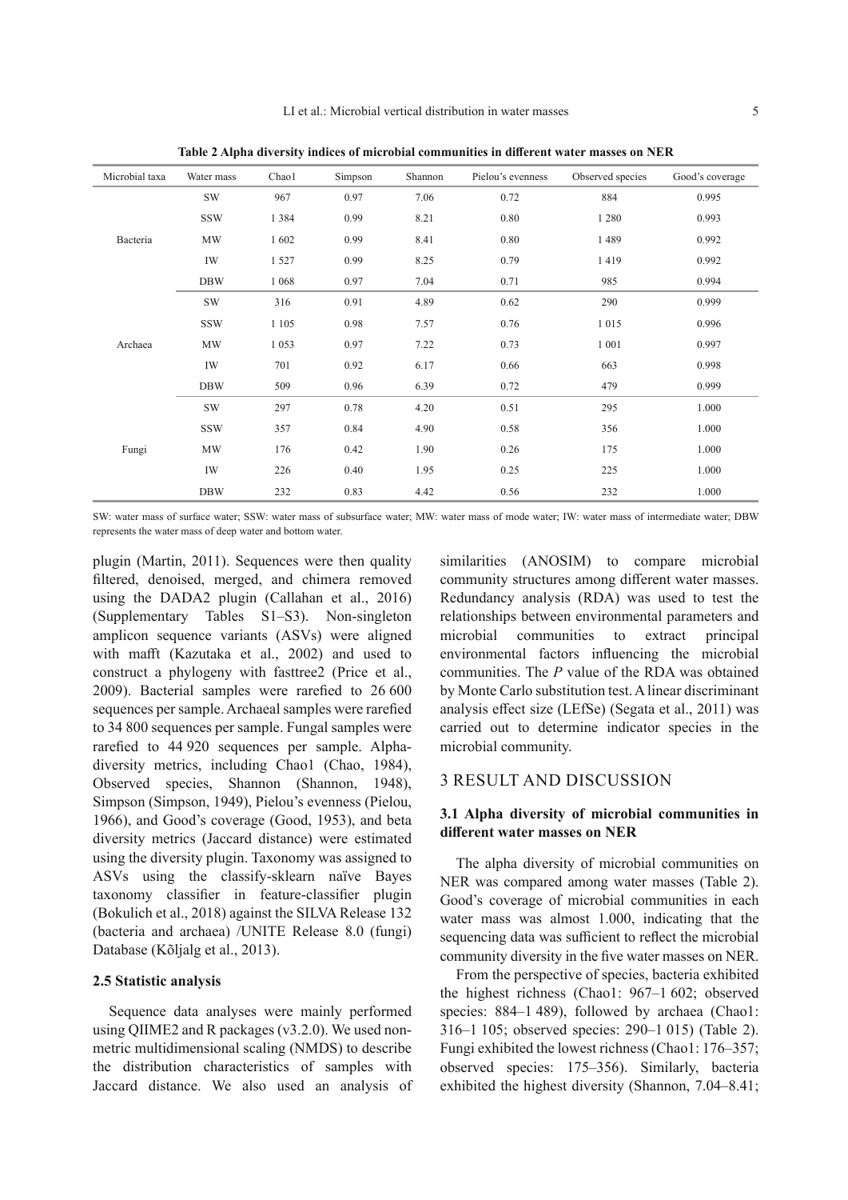| Microbial taxa | Water mass | Chaol   | Simpson | Shannon | Pielou's evenness | Observed species | Good's coverage |
|----------------|------------|---------|---------|---------|-------------------|------------------|-----------------|
| Bacteria       | <b>SW</b>  | 967     | 0.97    | 7.06    | 0.72              | 884              | 0.995           |
|                | <b>SSW</b> | 1 3 8 4 | 0.99    | 8.21    | 0.80              | 1 2 8 0          | 0.993           |
|                | MW         | 1602    | 0.99    | 8.41    | 0.80              | 1489             | 0.992           |
|                | IW         | 1527    | 0.99    | 8.25    | 0.79              | 1419             | 0.992           |
|                | <b>DBW</b> | 1 0 6 8 | 0.97    | 7.04    | 0.71              | 985              | 0.994           |
| Archaea        | <b>SW</b>  | 316     | 0.91    | 4.89    | 0.62              | 290              | 0.999           |
|                | <b>SSW</b> | 1 1 0 5 | 0.98    | 7.57    | 0.76              | 1015             | 0.996           |
|                | MW         | 1053    | 0.97    | 7.22    | 0.73              | 1 0 0 1          | 0.997           |
|                | IW         | 701     | 0.92    | 6.17    | 0.66              | 663              | 0.998           |
|                | <b>DBW</b> | 509     | 0.96    | 6.39    | 0.72              | 479              | 0.999           |
| Fungi          | <b>SW</b>  | 297     | 0.78    | 4.20    | 0.51              | 295              | 1.000           |
|                | <b>SSW</b> | 357     | 0.84    | 4.90    | 0.58              | 356              | 1.000           |
|                | MW         | 176     | 0.42    | 1.90    | 0.26              | 175              | 1.000           |
|                | IW         | 226     | 0.40    | 1.95    | 0.25              | 225              | 1.000           |
|                | <b>DBW</b> | 232     | 0.83    | 4.42    | 0.56              | 232              | 1.000           |

Table 2 Alpha diversity indices of microbial communities in different water masses on NER

 SW: water mass of surface water; SSW: water mass of subsurface water; MW: water mass of mode water; IW: water mass of intermediate water; DBW represents the water mass of deep water and bottom water.

plugin (Martin, 2011). Sequences were then quality filtered, denoised, merged, and chimera removed using the DADA2 plugin (Callahan et al., 2016) (Supplementary Tables S1–S3). Non-singleton amplicon sequence variants (ASVs) were aligned with mafft (Kazutaka et al., 2002) and used to construct a phylogeny with fasttree2 (Price et al., 2009). Bacterial samples were rarefied to  $26600$ sequences per sample. Archaeal samples were rarefied to 34 800 sequences per sample. Fungal samples were rarefied to 44 920 sequences per sample. Alphadiversity metrics, including Chao1 (Chao, 1984), Observed species, Shannon (Shannon, 1948), Simpson (Simpson, 1949), Pielou's evenness (Pielou, 1966), and Good's coverage (Good, 1953), and beta diversity metrics (Jaccard distance) were estimated using the diversity plugin. Taxonomy was assigned to ASVs using the classify-sklearn naïve Bayes taxonomy classifier in feature-classifier plugin (Bokulich et al., 2018) against the SILVA Release 132 (bacteria and archaea) /UNITE Release 8.0 (fungi) Database (Kõljalg et al., 2013).

#### **2.5 Statistic analysis**

 Sequence data analyses were mainly performed using QIIME2 and R packages (v3.2.0). We used nonmetric multidimensional scaling (NMDS) to describe the distribution characteristics of samples with Jaccard distance. We also used an analysis of similarities (ANOSIM) to compare microbial community structures among different water masses. Redundancy analysis (RDA) was used to test the relationships between environmental parameters and microbial communities to extract principal environmental factors influencing the microbial communities. The *P* value of the RDA was obtained by Monte Carlo substitution test. A linear discriminant analysis effect size (LEfSe) (Segata et al., 2011) was carried out to determine indicator species in the microbial community.

## 3 RESULT AND DISCUSSION

## **3.1 Alpha diversity of microbial communities in diff erent water masses on NER**

 The alpha diversity of microbial communities on NER was compared among water masses (Table 2). Good's coverage of microbial communities in each water mass was almost 1.000, indicating that the sequencing data was sufficient to reflect the microbial community diversity in the five water masses on NER.

 From the perspective of species, bacteria exhibited the highest richness (Chao1: 967–1 602; observed species: 884–1489), followed by archaea (Chao1: 316–1 105; observed species: 290–1 015) (Table 2). Fungi exhibited the lowest richness (Chao1: 176–357; observed species: 175–356). Similarly, bacteria exhibited the highest diversity (Shannon, 7.04–8.41;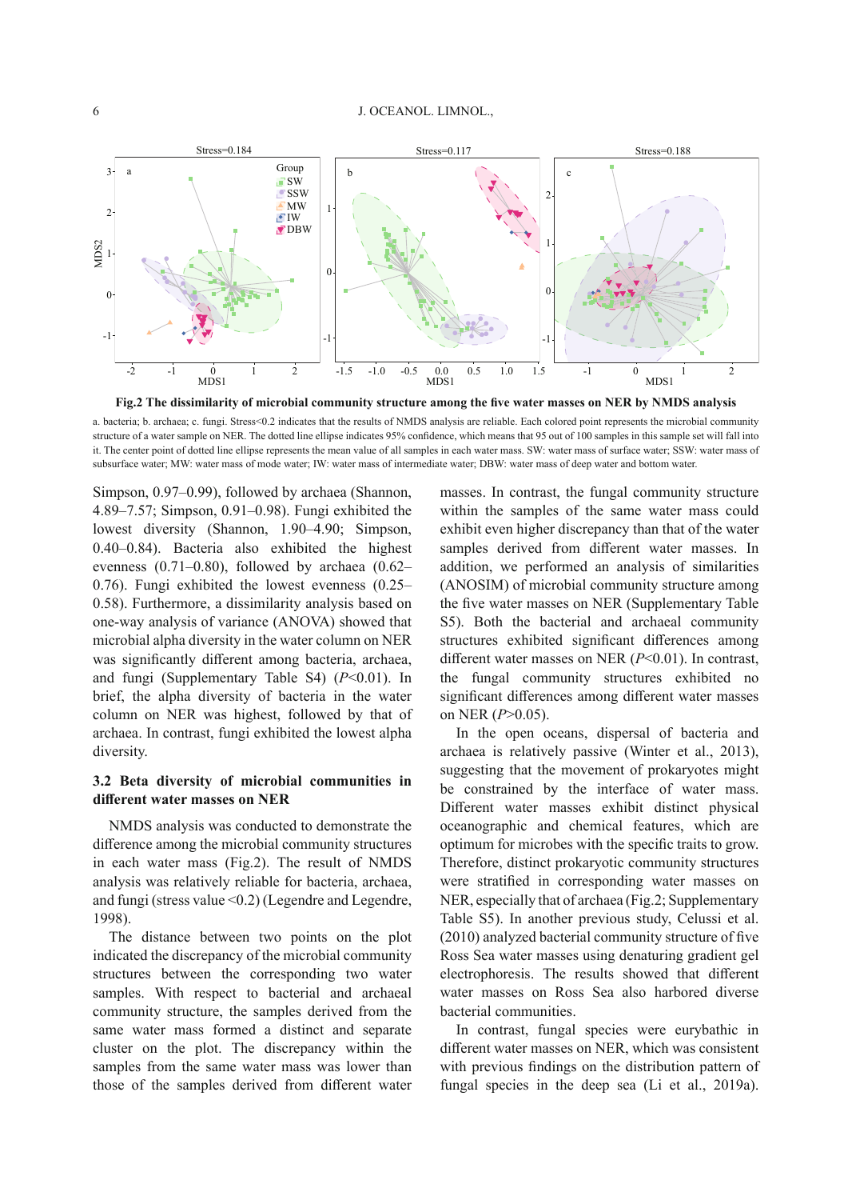

 a. bacteria; b. archaea; c. fungi. Stress<0.2 indicates that the results of NMDS analysis are reliable. Each colored point represents the microbial community structure of a water sample on NER. The dotted line ellipse indicates 95% confidence, which means that 95 out of 100 samples in this sample set will fall into it. The center point of dotted line ellipse represents the mean value of all samples in each water mass. SW: water mass of surface water; SSW: water mass of subsurface water; MW: water mass of mode water; IW: water mass of intermediate water; DBW: water mass of deep water and bottom water.

Simpson, 0.97–0.99), followed by archaea (Shannon, 4.89–7.57; Simpson, 0.91–0.98). Fungi exhibited the lowest diversity (Shannon, 1.90–4.90; Simpson, 0.40–0.84). Bacteria also exhibited the highest evenness (0.71–0.80), followed by archaea (0.62– 0.76). Fungi exhibited the lowest evenness (0.25– 0.58). Furthermore, a dissimilarity analysis based on one-way analysis of variance (ANOVA) showed that microbial alpha diversity in the water column on NER was significantly different among bacteria, archaea, and fungi (Supplementary Table S4)  $(P<0.01)$ . In brief, the alpha diversity of bacteria in the water column on NER was highest, followed by that of archaea. In contrast, fungi exhibited the lowest alpha diversity.

## **3.2 Beta diversity of microbial communities in diff erent water masses on NER**

 NMDS analysis was conducted to demonstrate the difference among the microbial community structures in each water mass (Fig.2). The result of NMDS analysis was relatively reliable for bacteria, archaea, and fungi (stress value <0.2) (Legendre and Legendre, 1998).

 The distance between two points on the plot indicated the discrepancy of the microbial community structures between the corresponding two water samples. With respect to bacterial and archaeal community structure, the samples derived from the same water mass formed a distinct and separate cluster on the plot. The discrepancy within the samples from the same water mass was lower than those of the samples derived from different water

masses. In contrast, the fungal community structure within the samples of the same water mass could exhibit even higher discrepancy than that of the water samples derived from different water masses. In addition, we performed an analysis of similarities (ANOSIM) of microbial community structure among the five water masses on NER (Supplementary Table S5). Both the bacterial and archaeal community structures exhibited significant differences among different water masses on NER ( $P$  < 0.01). In contrast, the fungal community structures exhibited no significant differences among different water masses on NER ( $P > 0.05$ ).

 In the open oceans, dispersal of bacteria and archaea is relatively passive (Winter et al., 2013), suggesting that the movement of prokaryotes might be constrained by the interface of water mass. Different water masses exhibit distinct physical oceanographic and chemical features, which are optimum for microbes with the specific traits to grow. Therefore, distinct prokaryotic community structures were stratified in corresponding water masses on NER, especially that of archaea (Fig.2; Supplementary Table S5). In another previous study, Celussi et al.  $(2010)$  analyzed bacterial community structure of five Ross Sea water masses using denaturing gradient gel electrophoresis. The results showed that different water masses on Ross Sea also harbored diverse bacterial communities.

 In contrast, fungal species were eurybathic in different water masses on NER, which was consistent with previous findings on the distribution pattern of fungal species in the deep sea (Li et al., 2019a).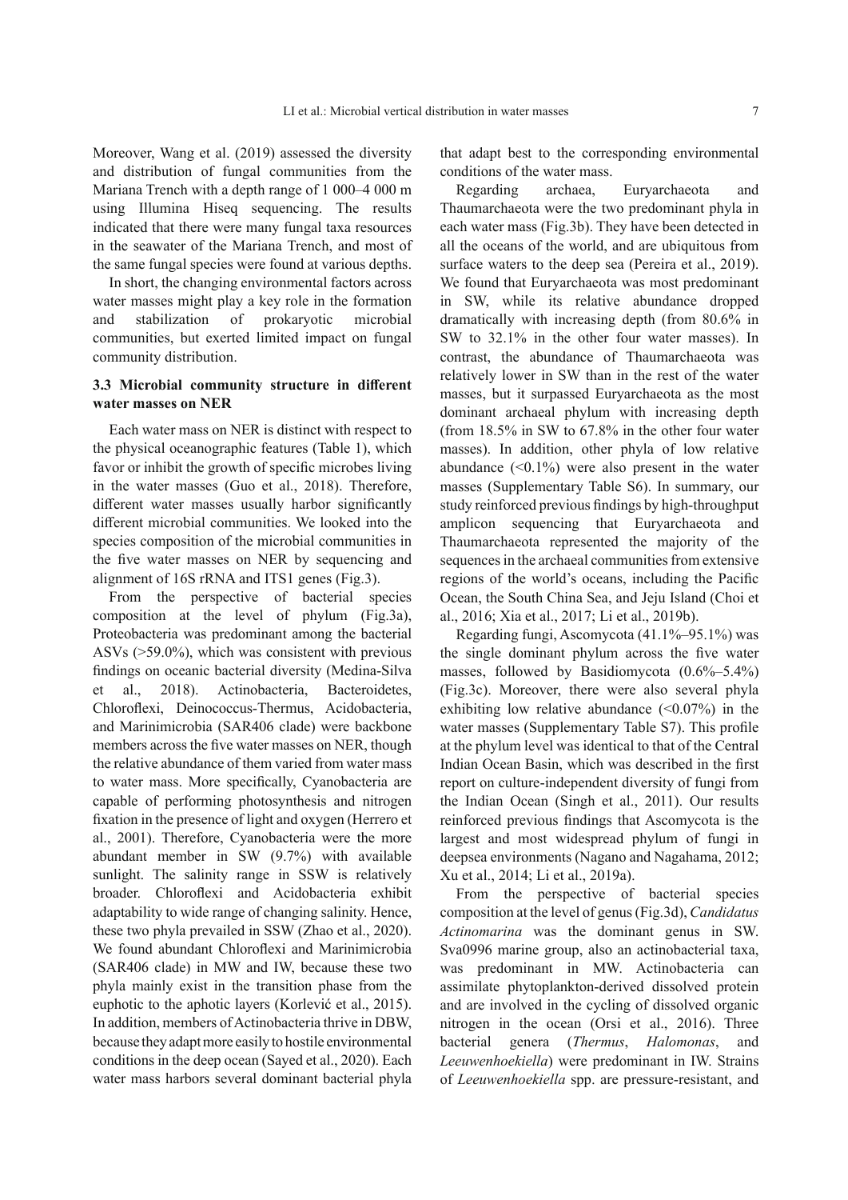Moreover, Wang et al. (2019) assessed the diversity and distribution of fungal communities from the Mariana Trench with a depth range of 1 000–4 000 m using Illumina Hiseq sequencing. The results indicated that there were many fungal taxa resources in the seawater of the Mariana Trench, and most of the same fungal species were found at various depths.

 In short, the changing environmental factors across water masses might play a key role in the formation and stabilization of prokaryotic microbial communities, but exerted limited impact on fungal community distribution.

#### **3.3 Microbial community structure in different water masses on NER**

 Each water mass on NER is distinct with respect to the physical oceanographic features (Table 1), which favor or inhibit the growth of specific microbes living in the water masses (Guo et al., 2018). Therefore, different water masses usually harbor significantly different microbial communities. We looked into the species composition of the microbial communities in the five water masses on NER by sequencing and alignment of 16S rRNA and ITS1 genes (Fig.3).

 From the perspective of bacterial species composition at the level of phylum (Fig.3a), Proteobacteria was predominant among the bacterial ASVs (>59.0%), which was consistent with previous findings on oceanic bacterial diversity (Medina-Silva et al., 2018). Actinobacteria, Bacteroidetes, Chloroflexi, Deinococcus-Thermus, Acidobacteria, and Marinimicrobia (SAR406 clade) were backbone members across the five water masses on NER, though the relative abundance of them varied from water mass to water mass. More specifically, Cyanobacteria are capable of performing photosynthesis and nitrogen fixation in the presence of light and oxygen (Herrero et al., 2001). Therefore, Cyanobacteria were the more abundant member in SW (9.7%) with available sunlight. The salinity range in SSW is relatively broader. Chloroflexi and Acidobacteria exhibit adaptability to wide range of changing salinity. Hence, these two phyla prevailed in SSW (Zhao et al., 2020). We found abundant Chloroflexi and Marinimicrobia (SAR406 clade) in MW and IW, because these two phyla mainly exist in the transition phase from the euphotic to the aphotic layers (Korlević et al., 2015). In addition, members of Actinobacteria thrive in DBW, because they adapt more easily to hostile environmental conditions in the deep ocean (Sayed et al., 2020). Each water mass harbors several dominant bacterial phyla that adapt best to the corresponding environmental conditions of the water mass.

 Regarding archaea, Euryarchaeota and Thaumarchaeota were the two predominant phyla in each water mass (Fig.3b). They have been detected in all the oceans of the world, and are ubiquitous from surface waters to the deep sea (Pereira et al., 2019). We found that Euryarchaeota was most predominant in SW, while its relative abundance dropped dramatically with increasing depth (from 80.6% in SW to 32.1% in the other four water masses). In contrast, the abundance of Thaumarchaeota was relatively lower in SW than in the rest of the water masses, but it surpassed Euryarchaeota as the most dominant archaeal phylum with increasing depth (from 18.5% in SW to 67.8% in the other four water masses). In addition, other phyla of low relative abundance  $( $0.1\%$ ) were also present in the water$ masses (Supplementary Table S6). In summary, our study reinforced previous findings by high-throughput amplicon sequencing that Euryarchaeota and Thaumarchaeota represented the majority of the sequences in the archaeal communities from extensive regions of the world's oceans, including the Pacific Ocean, the South China Sea, and Jeju Island (Choi et al., 2016; Xia et al., 2017; Li et al., 2019b).

 Regarding fungi, Ascomycota (41.1%–95.1%) was the single dominant phylum across the five water masses, followed by Basidiomycota (0.6%–5.4%) (Fig.3c). Moreover, there were also several phyla exhibiting low relative abundance  $(\leq 0.07\%)$  in the water masses (Supplementary Table S7). This profile at the phylum level was identical to that of the Central Indian Ocean Basin, which was described in the first report on culture-independent diversity of fungi from the Indian Ocean (Singh et al., 2011). Our results reinforced previous findings that Ascomycota is the largest and most widespread phylum of fungi in deepsea environments (Nagano and Nagahama, 2012; Xu et al., 2014; Li et al., 2019a).

 From the perspective of bacterial species composition at the level of genus (Fig.3d), *Candidatus Actinomarina* was the dominant genus in SW. Sva0996 marine group, also an actinobacterial taxa, was predominant in MW. Actinobacteria can assimilate phytoplankton-derived dissolved protein and are involved in the cycling of dissolved organic nitrogen in the ocean (Orsi et al., 2016). Three bacterial genera (*Thermus*, *Halomonas*, and *Leeuwenhoekiella* ) were predominant in IW. Strains of *Leeuwenhoekiella* spp. are pressure-resistant, and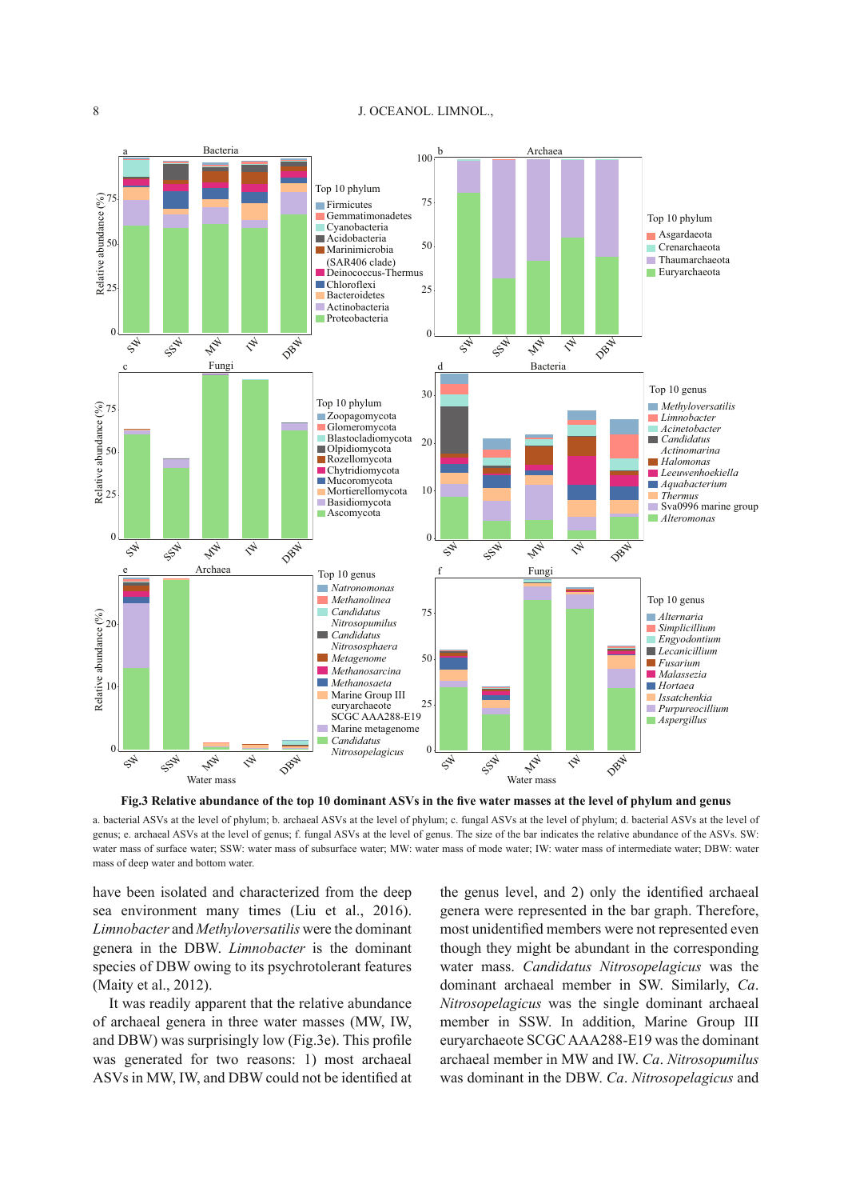

Fig.3 Relative abundance of the top 10 dominant ASVs in the five water masses at the level of phylum and genus

 a. bacterial ASVs at the level of phylum; b. archaeal ASVs at the level of phylum; c. fungal ASVs at the level of phylum; d. bacterial ASVs at the level of genus; e. archaeal ASVs at the level of genus; f. fungal ASVs at the level of genus. The size of the bar indicates the relative abundance of the ASVs. SW: water mass of surface water; SSW: water mass of subsurface water; MW: water mass of mode water; IW: water mass of intermediate water; DBW: water mass of deep water and bottom water.

have been isolated and characterized from the deep sea environment many times (Liu et al., 2016). *Limnobacter* and *Methyloversatilis* were the dominant genera in the DBW. *Limnobacter* is the dominant species of DBW owing to its psychrotolerant features (Maity et al., 2012).

 It was readily apparent that the relative abundance of archaeal genera in three water masses (MW, IW, and DBW) was surprisingly low (Fig.3e). This profile was generated for two reasons: 1) most archaeal ASVs in MW, IW, and DBW could not be identified at the genus level, and 2) only the identified archaeal genera were represented in the bar graph. Therefore, most unidentified members were not represented even though they might be abundant in the corresponding water mass. *Candidatus Nitrosopelagicus* was the dominant archaeal member in SW. Similarly, *Ca* . *Nitrosopelagicus* was the single dominant archaeal member in SSW. In addition, Marine Group III euryarchaeote SCGC AAA288-E19 was the dominant archaeal member in MW and IW. *Ca* . *Nitrosopumilus* was dominant in the DBW. *Ca* . *Nitrosopelagicus* and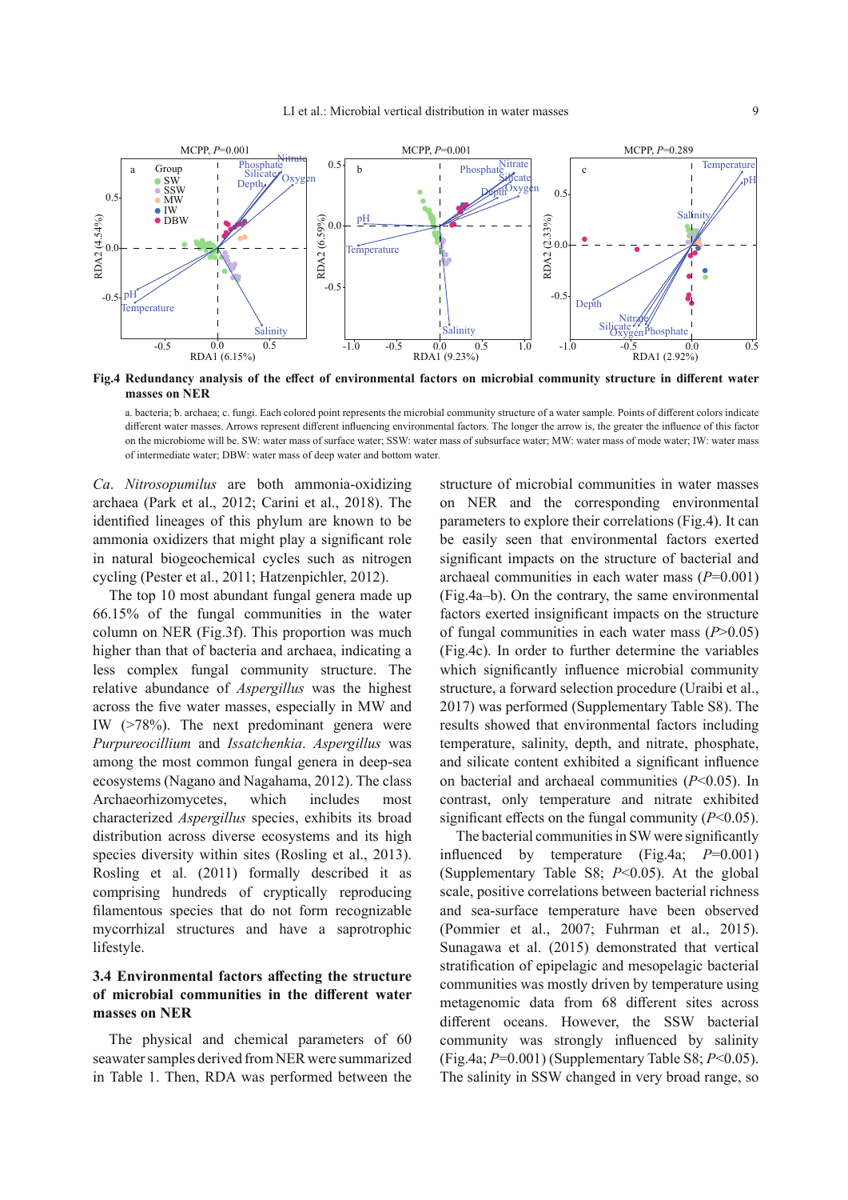

Fig.4 Redundancy analysis of the effect of environmental factors on microbial community structure in different water **masses on NER** 

a. bacteria; b. archaea; c. fungi. Each colored point represents the microbial community structure of a water sample. Points of different colors indicate different water masses. Arrows represent different influencing environmental factors. The longer the arrow is, the greater the influence of this factor on the microbiome will be. SW: water mass of surface water; SSW: water mass of subsurface water; MW: water mass of mode water; IW: water mass of intermediate water; DBW: water mass of deep water and bottom water.

*Ca* . *Nitrosopumilus* are both ammonia-oxidizing archaea (Park et al., 2012; Carini et al., 2018). The identified lineages of this phylum are known to be ammonia oxidizers that might play a significant role in natural biogeochemical cycles such as nitrogen cycling (Pester et al., 2011; Hatzenpichler, 2012).

 The top 10 most abundant fungal genera made up 66.15% of the fungal communities in the water column on NER (Fig.3f). This proportion was much higher than that of bacteria and archaea, indicating a less complex fungal community structure. The relative abundance of *Aspergillus* was the highest across the five water masses, especially in MW and IW (>78%). The next predominant genera were *Purpureocillium* and *Issatchenkia* . *Aspergillus* was among the most common fungal genera in deep-sea ecosystems (Nagano and Nagahama, 2012). The class Archaeorhizomycetes, which includes most characterized *Aspergillus* species, exhibits its broad distribution across diverse ecosystems and its high species diversity within sites (Rosling et al., 2013). Rosling et al. (2011) formally described it as comprising hundreds of cryptically reproducing filamentous species that do not form recognizable mycorrhizal structures and have a saprotrophic lifestyle.

# **3.4 Environmental factors affecting the structure** of microbial communities in the different water **masses on NER**

 The physical and chemical parameters of 60 seawater samples derived from NER were summarized in Table 1. Then, RDA was performed between the

structure of microbial communities in water masses on NER and the corresponding environmental parameters to explore their correlations (Fig.4). It can be easily seen that environmental factors exerted significant impacts on the structure of bacterial and archaeal communities in each water mass  $(P=0.001)$ (Fig.4a–b). On the contrary, the same environmental factors exerted insignificant impacts on the structure of fungal communities in each water mass  $(P>0.05)$ (Fig.4c). In order to further determine the variables which significantly influence microbial community structure, a forward selection procedure (Uraibi et al., 2017) was performed (Supplementary Table S8). The results showed that environmental factors including temperature, salinity, depth, and nitrate, phosphate, and silicate content exhibited a significant influence on bacterial and archaeal communities  $(P<0.05)$ . In contrast, only temperature and nitrate exhibited significant effects on the fungal community  $(P<0.05)$ .

The bacterial communities in SW were significantly influenced by temperature  $(Fig.4a; P=0.001)$ (Supplementary Table S8;  $P<0.05$ ). At the global scale, positive correlations between bacterial richness and sea-surface temperature have been observed (Pommier et al., 2007; Fuhrman et al., 2015). Sunagawa et al. (2015) demonstrated that vertical stratification of epipelagic and mesopelagic bacterial communities was mostly driven by temperature using metagenomic data from 68 different sites across different oceans. However, the SSW bacterial community was strongly influenced by salinity (Fig.4a; *P* =0.001) (Supplementary Table S8; *P* <0.05). The salinity in SSW changed in very broad range, so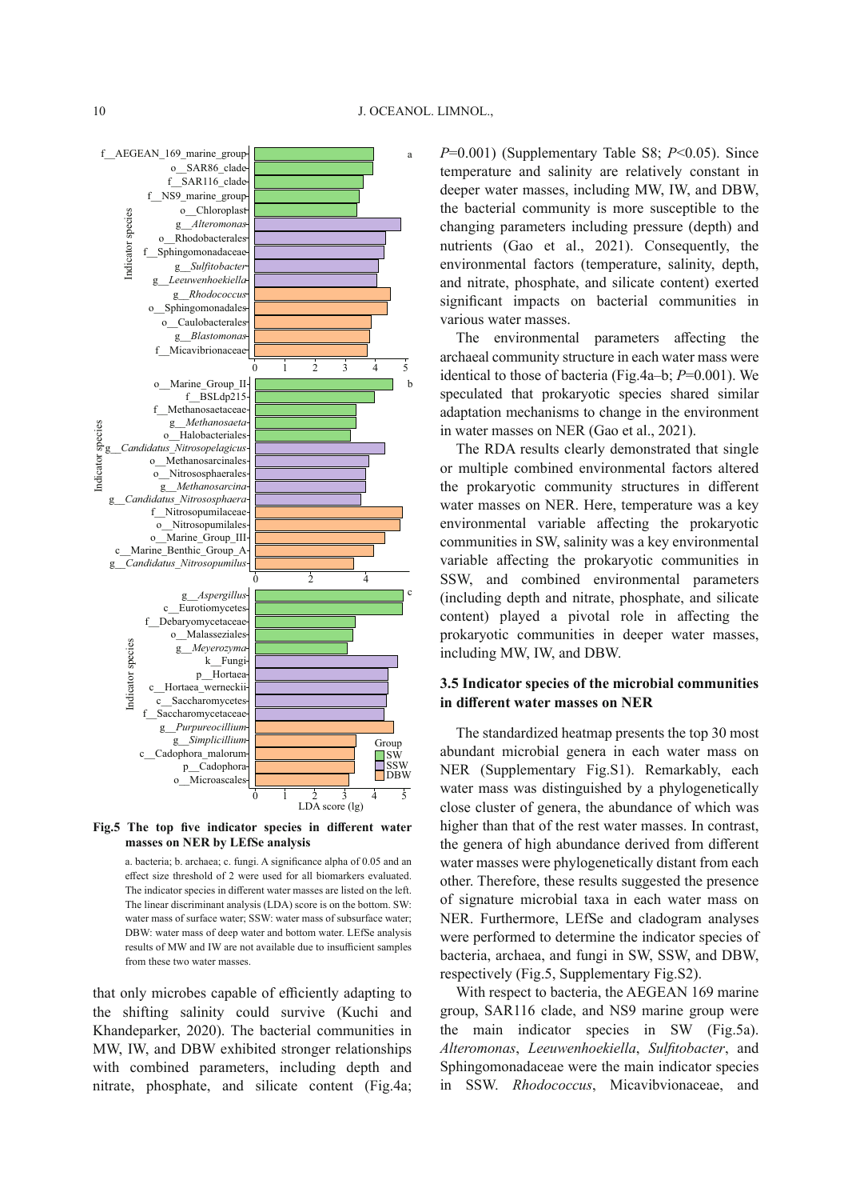



a. bacteria; b. archaea; c. fungi. A significance alpha of 0.05 and an effect size threshold of 2 were used for all biomarkers evaluated. The indicator species in different water masses are listed on the left. The linear discriminant analysis (LDA) score is on the bottom. SW: water mass of surface water; SSW: water mass of subsurface water; DBW: water mass of deep water and bottom water. LEfSe analysis results of MW and IW are not available due to insufficient samples from these two water masses.

that only microbes capable of efficiently adapting to the shifting salinity could survive (Kuchi and Khandeparker, 2020). The bacterial communities in MW, IW, and DBW exhibited stronger relationships with combined parameters, including depth and nitrate, phosphate, and silicate content (Fig.4a;

 $P=0.001$ ) (Supplementary Table S8;  $P<0.05$ ). Since temperature and salinity are relatively constant in deeper water masses, including MW, IW, and DBW, the bacterial community is more susceptible to the changing parameters including pressure (depth) and nutrients (Gao et al., 2021). Consequently, the environmental factors (temperature, salinity, depth, and nitrate, phosphate, and silicate content) exerted significant impacts on bacterial communities in various water masses.

The environmental parameters affecting the archaeal community structure in each water mass were identical to those of bacteria (Fig.4a–b;  $P=0.001$ ). We speculated that prokaryotic species shared similar adaptation mechanisms to change in the environment in water masses on NER (Gao et al., 2021).

 The RDA results clearly demonstrated that single or multiple combined environmental factors altered the prokaryotic community structures in different water masses on NER. Here, temperature was a key environmental variable affecting the prokaryotic communities in SW, salinity was a key environmental variable affecting the prokaryotic communities in SSW, and combined environmental parameters (including depth and nitrate, phosphate, and silicate content) played a pivotal role in affecting the prokaryotic communities in deeper water masses, including MW, IW, and DBW.

#### **3.5 Indicator species of the microbial communities in diff erent water masses on NER**

 The standardized heatmap presents the top 30 most abundant microbial genera in each water mass on NER (Supplementary Fig.S1). Remarkably, each water mass was distinguished by a phylogenetically close cluster of genera, the abundance of which was higher than that of the rest water masses. In contrast, the genera of high abundance derived from different water masses were phylogenetically distant from each other. Therefore, these results suggested the presence of signature microbial taxa in each water mass on NER. Furthermore, LEfSe and cladogram analyses were performed to determine the indicator species of bacteria, archaea, and fungi in SW, SSW, and DBW, respectively (Fig.5, Supplementary Fig.S2).

 With respect to bacteria, the AEGEAN 169 marine group, SAR116 clade, and NS9 marine group were the main indicator species in SW (Fig.5a). *Alteromonas* , *Leeuwenhoekiella* , *Sulfi tobacter* , and Sphingomonadaceae were the main indicator species in SSW. *Rhodococcus*, Micavibvionaceae, and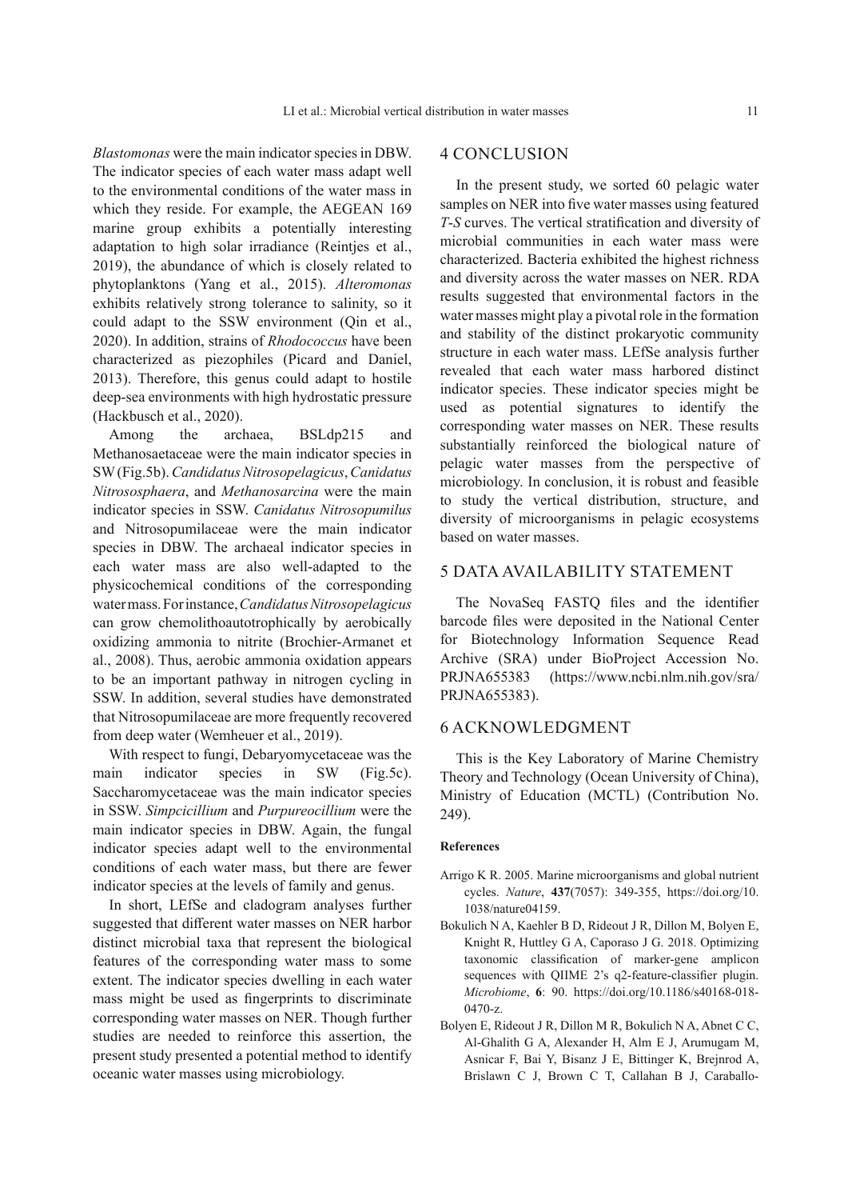*Blastomonas* were the main indicator species in DBW. The indicator species of each water mass adapt well to the environmental conditions of the water mass in which they reside. For example, the AEGEAN 169 marine group exhibits a potentially interesting adaptation to high solar irradiance (Reintjes et al., 2019), the abundance of which is closely related to phytoplanktons (Yang et al., 2015). *Alteromonas* exhibits relatively strong tolerance to salinity, so it could adapt to the SSW environment (Qin et al., 2020). In addition, strains of *Rhodococcus* have been characterized as piezophiles (Picard and Daniel, 2013). Therefore, this genus could adapt to hostile deep-sea environments with high hydrostatic pressure (Hackbusch et al., 2020).

 Among the archaea, BSLdp215 and Methanosaetaceae were the main indicator species in SW (Fig.5b). *Candidatus Nitrosopelagicus* , *Canidatus Nitrososphaera* , and *Methanosarcina* were the main indicator species in SSW. *Canidatus Nitrosopumilus* and Nitrosopumilaceae were the main indicator species in DBW. The archaeal indicator species in each water mass are also well-adapted to the physicochemical conditions of the corresponding water mass. For instance, *Candidatus Nitrosopelagicus* can grow chemolithoautotrophically by aerobically oxidizing ammonia to nitrite (Brochier-Armanet et al., 2008). Thus, aerobic ammonia oxidation appears to be an important pathway in nitrogen cycling in SSW. In addition, several studies have demonstrated that Nitrosopumilaceae are more frequently recovered from deep water (Wemheuer et al., 2019).

 With respect to fungi, Debaryomycetaceae was the main indicator species in SW (Fig.5c). Saccharomycetaceae was the main indicator species in SSW. *Simpcicillium* and *Purpureocillium* were the main indicator species in DBW. Again, the fungal indicator species adapt well to the environmental conditions of each water mass, but there are fewer indicator species at the levels of family and genus.

 In short, LEfSe and cladogram analyses further suggested that different water masses on NER harbor distinct microbial taxa that represent the biological features of the corresponding water mass to some extent. The indicator species dwelling in each water mass might be used as fingerprints to discriminate corresponding water masses on NER. Though further studies are needed to reinforce this assertion, the present study presented a potential method to identify oceanic water masses using microbiology.

## 4 CONCLUSION

 In the present study, we sorted 60 pelagic water samples on NER into five water masses using featured *T*-*S* curves. The vertical stratification and diversity of microbial communities in each water mass were characterized. Bacteria exhibited the highest richness and diversity across the water masses on NER. RDA results suggested that environmental factors in the water masses might play a pivotal role in the formation and stability of the distinct prokaryotic community structure in each water mass. LEfSe analysis further revealed that each water mass harbored distinct indicator species. These indicator species might be used as potential signatures to identify the corresponding water masses on NER. These results substantially reinforced the biological nature of pelagic water masses from the perspective of microbiology. In conclusion, it is robust and feasible to study the vertical distribution, structure, and diversity of microorganisms in pelagic ecosystems based on water masses.

#### 5 DATA AVAILABILITY STATEMENT

The NovaSeq FASTQ files and the identifier barcode files were deposited in the National Center for Biotechnology Information Sequence Read Archive (SRA) under BioProject Accession No. PRJNA655383 (https://www.ncbi.nlm.nih.gov/sra/ PRJNA655383).

#### 6 ACKNOWLEDGMENT

This is the Key Laboratory of Marine Chemistry Theory and Technology (Ocean University of China), Ministry of Education (MCTL) (Contribution No. 249).

#### **References**

- Arrigo K R. 2005. Marine microorganisms and global nutrient cycles. *Nature*, 437(7057): 349-355, https://doi.org/10. 1038/nature04159.
- Bokulich N A, Kaehler B D, Rideout J R, Dillon M, Bolyen E, Knight R, Huttley G A, Caporaso J G. 2018. Optimizing taxonomic classification of marker-gene amplicon sequences with OIIME 2's q2-feature-classifier plugin. *Microbiome* , **6** : 90. https://doi.org/10.1186/s40168-018- 0470-z.
- Bolyen E, Rideout J R, Dillon M R, Bokulich N A, Abnet C C, Al-Ghalith G A, Alexander H, Alm E J, Arumugam M, Asnicar F, Bai Y, Bisanz J E, Bittinger K, Brejnrod A, Brislawn C J, Brown C T, Callahan B J, Caraballo-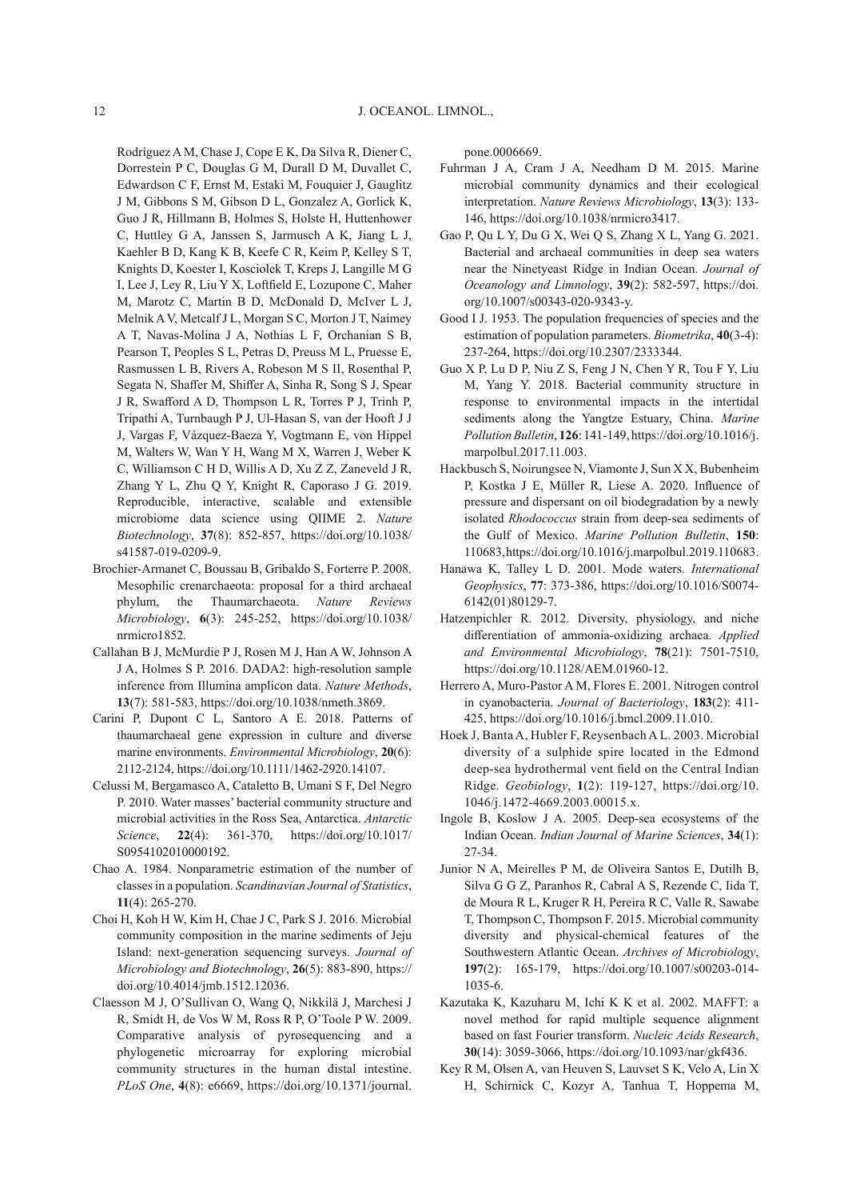Rodríguez A M, Chase J, Cope E K, Da Silva R, Diener C, Dorrestein P C, Douglas G M, Durall D M, Duvallet C, Edwardson C F, Ernst M, Estaki M, Fouquier J, Gauglitz J M, Gibbons S M, Gibson D L, Gonzalez A, Gorlick K, Guo J R, Hillmann B, Holmes S, Holste H, Huttenhower C, Huttley G A, Janssen S, Jarmusch A K, Jiang L J, Kaehler B D, Kang K B, Keefe C R, Keim P, Kelley S T, Knights D, Koester I, Kosciolek T, Kreps J, Langille M G I, Lee J, Ley R, Liu Y X, Loftfield E, Lozupone C, Maher M, Marotz C, Martin B D, McDonald D, McIver L J, Melnik A V, Metcalf J L, Morgan S C, Morton J T, Naimey A T, Navas-Molina J A, Nothias L F, Orchanian S B, Pearson T, Peoples S L, Petras D, Preuss M L, Pruesse E, Rasmussen L B, Rivers A, Robeson M S II, Rosenthal P, Segata N, Shaffer M, Shiffer A, Sinha R, Song S J, Spear J R, Swafford A D, Thompson L R, Torres P J, Trinh P, Tripathi A, Turnbaugh P J, Ul-Hasan S, van der Hooft J J J, Vargas F, Vázquez-Baeza Y, Vogtmann E, von Hippel M, Walters W, Wan Y H, Wang M X, Warren J, Weber K C, Williamson C H D, Willis A D, Xu Z Z, Zaneveld J R, Zhang Y L, Zhu Q Y, Knight R, Caporaso J G. 2019. Reproducible, interactive, scalable and extensible microbiome data science using QIIME 2. *Nature Biotechnology* , **37** (8): 852-857, https://doi.org/10.1038/ s41587-019-0209-9.

- Brochier-Armanet C, Boussau B, Gribaldo S, Forterre P. 2008. Mesophilic crenarchaeota: proposal for a third archaeal phylum, the Thaumarchaeota. *Nature Reviews Microbiology* , **6** (3): 245-252, https://doi.org/10.1038/ nrmicro1852.
- Callahan B J, McMurdie P J, Rosen M J, Han A W, Johnson A J A, Holmes S P. 2016. DADA2: high-resolution sample inference from Illumina amplicon data. *Nature Methods* , **13** (7): 581-583, https://doi.org/10.1038/nmeth.3869.
- Carini P, Dupont C L, Santoro A E. 2018. Patterns of thaumarchaeal gene expression in culture and diverse marine environments. *Environmental Microbiology* , **20** (6): 2112-2124, https://doi.org/10.1111/1462-2920.14107.
- Celussi M, Bergamasco A, Cataletto B, Umani S F, Del Negro P. 2010. Water masses' bacterial community structure and microbial activities in the Ross Sea, Antarctica. *Antarctic Science* , **22** (4): 361-370, https://doi.org/10.1017/ S0954102010000192.
- Chao A. 1984. Nonparametric estimation of the number of classes in a population. *Scandinavian Journal of Statistics* , **11** (4): 265-270.
- Choi H, Koh H W, Kim H, Chae J C, Park S J. 2016. Microbial community composition in the marine sediments of Jeju Island: next-generation sequencing surveys. *Journal of Microbiology and Biotechnology* , **26** (5): 883-890, https:// doi.org/10.4014/jmb.1512.12036.
- Claesson M J, O'Sullivan O, Wang Q, Nikkilä J, Marchesi J R, Smidt H, de Vos W M, Ross R P, O'Toole P W. 2009. Comparative analysis of pyrosequencing and a phylogenetic microarray for exploring microbial community structures in the human distal intestine. *PLoS One* , **4** (8): e6669, https://doi.org/10.1371/journal.

pone.0006669.

- Fuhrman J A, Cram J A, Needham D M. 2015. Marine microbial community dynamics and their ecological interpretation. *Nature Reviews Microbiology* , **13** (3): 133- 146, https://doi.org/10.1038/nrmicro3417.
- Gao P, Qu L Y, Du G X, Wei Q S, Zhang X L, Yang G. 2021. Bacterial and archaeal communities in deep sea waters near the Ninetyeast Ridge in Indian Ocean. *Journal of Oceanology and Limnology* , **39** (2): 582-597, https://doi. org/10.1007/s00343-020-9343-y.
- Good I J. 1953. The population frequencies of species and the estimation of population parameters. *Biometrika*, 40(3-4): 237-264, https://doi.org/10.2307/2333344.
- Guo X P, Lu D P, Niu Z S, Feng J N, Chen Y R, Tou F Y, Liu M, Yang Y. 2018. Bacterial community structure in response to environmental impacts in the intertidal sediments along the Yangtze Estuary, China. *Marine Pollution Bulletin* , **126** : 141-149, https://doi.org/10.1016/j. marpolbul.2017.11.003.
- Hackbusch S, Noirungsee N, Viamonte J, Sun X X, Bubenheim P, Kostka J E, Müller R, Liese A. 2020. Influence of pressure and dispersant on oil biodegradation by a newly isolated *Rhodococcus* strain from deep-sea sediments of the Gulf of Mexico. Marine Pollution Bulletin, 150: 110683, https://doi.org/10.1016/j.marpolbul.2019.110683.
- Hanawa K, Talley L D. 2001. Mode waters. *International Geophysics* , **77** : 373-386, https://doi.org/10.1016/S0074- 6142(01)80129-7.
- Hatzenpichler R. 2012. Diversity, physiology, and niche diff erentiation of ammonia-oxidizing archaea. *Applied and Environmental Microbiology* , **78** (21): 7501-7510, https://doi.org/10.1128/AEM.01960-12.
- Herrero A, Muro-Pastor A M, Flores E. 2001. Nitrogen control in cyanobacteria. *Journal of Bacteriology* , **183** (2): 411- 425, https://doi.org/10.1016/j.bmcl.2009.11.010.
- Hoek J, Banta A, Hubler F, Reysenbach A L. 2003. Microbial diversity of a sulphide spire located in the Edmond deep-sea hydrothermal vent field on the Central Indian Ridge. *Geobiology* , **1** (2): 119-127, https://doi.org/10. 1046/j.1472-4669.2003.00015.x.
- Ingole B, Koslow J A. 2005. Deep-sea ecosystems of the Indian Ocean. *Indian Journal of Marine Sciences* , **34** (1): 27-34.
- Junior N A, Meirelles P M, de Oliveira Santos E, Dutilh B, Silva G G Z, Paranhos R, Cabral A S, Rezende C, Iida T, de Moura R L, Kruger R H, Pereira R C, Valle R, Sawabe T, Thompson C, Thompson F. 2015. Microbial community diversity and physical-chemical features of the Southwestern Atlantic Ocean. *Archives of Microbiology* , **197** (2): 165-179, https://doi.org/10.1007/s00203-014- 1035-6.
- Kazutaka K, Kazuharu M, Ichi K K et al. 2002. MAFFT: a novel method for rapid multiple sequence alignment based on fast Fourier transform. *Nucleic Acids Research* , **30** (14): 3059-3066, https://doi.org/10.1093/nar/gkf436.
- Key R M, Olsen A, van Heuven S, Lauvset S K, Velo A, Lin X H, Schirnick C, Kozyr A, Tanhua T, Hoppema M,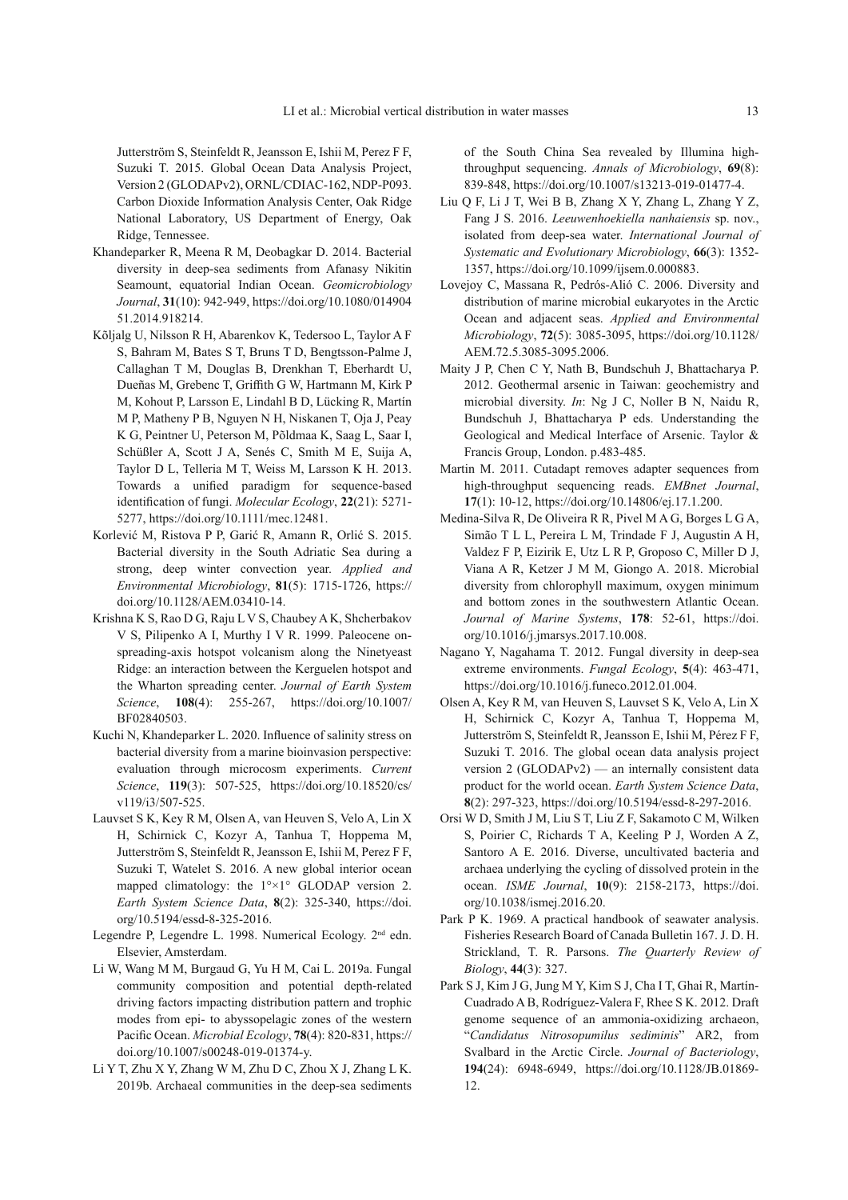Jutterström S, Steinfeldt R, Jeansson E, Ishii M, Perez F F, Suzuki T. 2015. Global Ocean Data Analysis Project, Version 2 (GLODAPv2), ORNL/CDIAC-162, NDP-P093. Carbon Dioxide Information Analysis Center, Oak Ridge National Laboratory, US Department of Energy, Oak Ridge, Tennessee.

- Khandeparker R, Meena R M, Deobagkar D. 2014. Bacterial diversity in deep-sea sediments from Afanasy Nikitin Seamount, equatorial Indian Ocean. *Geomicrobiology Journal* , **31** (10): 942-949, https://doi.org/10.1080/014904 51.2014.918214.
- Kõljalg U, Nilsson R H, Abarenkov K, Tedersoo L, Taylor A F S, Bahram M, Bates S T, Bruns T D, Bengtsson-Palme J, Callaghan T M, Douglas B, Drenkhan T, Eberhardt U, Dueñas M, Grebenc T, Griffith G W, Hartmann M, Kirk P M, Kohout P, Larsson E, Lindahl B D, Lücking R, Martín M P, Matheny P B, Nguyen N H, Niskanen T, Oja J, Peay K G, Peintner U, Peterson M, Põldmaa K, Saag L, Saar I, Schüßler A, Scott J A, Senés C, Smith M E, Suija A, Taylor D L, Telleria M T, Weiss M, Larsson K H. 2013. Towards a unified paradigm for sequence-based identification of fungi. *Molecular Ecology*, 22(21): 5271-5277, https://doi.org/10.1111/mec.12481.
- Korlević M, Ristova P P, Garić R, Amann R, Orlić S. 2015. Bacterial diversity in the South Adriatic Sea during a strong, deep winter convection year. *Applied and Environmental Microbiology* , **81** (5): 1715-1726, https:// doi.org/10.1128/AEM.03410-14.
- Krishna K S, Rao D G, Raju L V S, Chaubey A K, Shcherbakov V S, Pilipenko A I, Murthy I V R. 1999. Paleocene onspreading-axis hotspot volcanism along the Ninetyeast Ridge: an interaction between the Kerguelen hotspot and the Wharton spreading center. *Journal of Earth System Science* , **108** (4): 255-267, https://doi.org/10.1007/ BF02840503.
- Kuchi N, Khandeparker L. 2020. Influence of salinity stress on bacterial diversity from a marine bioinvasion perspective: evaluation through microcosm experiments. *Current Science* , **119** (3): 507-525, https://doi.org/10.18520/cs/ v119/i3/507-525.
- Lauvset S K, Key R M, Olsen A, van Heuven S, Velo A, Lin X H, Schirnick C, Kozyr A, Tanhua T, Hoppema M, Jutterström S, Steinfeldt R, Jeansson E, Ishii M, Perez F F, Suzuki T, Watelet S. 2016. A new global interior ocean mapped climatology: the 1°×1° GLODAP version 2. *Earth System Science Data* , **8** (2): 325-340, https://doi. org/10.5194/essd-8-325-2016.
- Legendre P, Legendre L. 1998. Numerical Ecology. 2<sup>nd</sup> edn. Elsevier, Amsterdam.
- Li W, Wang M M, Burgaud G, Yu H M, Cai L. 2019a. Fungal community composition and potential depth-related driving factors impacting distribution pattern and trophic modes from epi- to abyssopelagic zones of the western Pacific Ocean. *Microbial Ecology*, **78**(4): 820-831, https:// doi.org/10.1007/s00248-019-01374-y.
- Li Y T, Zhu X Y, Zhang W M, Zhu D C, Zhou X J, Zhang L K. 2019b. Archaeal communities in the deep-sea sediments

of the South China Sea revealed by Illumina highthroughput sequencing. *Annals of Microbiology* , **69** (8): 839-848, https://doi.org/10.1007/s13213-019-01477-4.

- Liu Q F, Li J T, Wei B B, Zhang X Y, Zhang L, Zhang Y Z, Fang J S. 2016. *Leeuwenhoekiella nanhaiensis* sp. nov., isolated from deep-sea water. *International Journal of Systematic and Evolutionary Microbiology* , **66** (3): 1352- 1357, https://doi.org/10.1099/ijsem.0.000883.
- Lovejoy C, Massana R, Pedrós-Alió C. 2006. Diversity and distribution of marine microbial eukaryotes in the Arctic Ocean and adjacent seas. *Applied and Environmental Microbiology* , **72** (5): 3085-3095, https://doi.org/10.1128/ AEM.72.5.3085-3095.2006.
- Maity J P, Chen C Y, Nath B, Bundschuh J, Bhattacharya P. 2012. Geothermal arsenic in Taiwan: geochemistry and microbial diversity. *In*: Ng J C, Noller B N, Naidu R, Bundschuh J, Bhattacharya P eds. Understanding the Geological and Medical Interface of Arsenic. Taylor & Francis Group, London. p.483-485.
- Martin M. 2011. Cutadapt removes adapter sequences from high-throughput sequencing reads. *EMBnet Journal* , **17** (1): 10-12, https://doi.org/10.14806/ej.17.1.200.
- Medina-Silva R, De Oliveira R R, Pivel M A G, Borges L G A, Simão T L L, Pereira L M, Trindade F J, Augustin A H, Valdez F P, Eizirik E, Utz L R P, Groposo C, Miller D J, Viana A R, Ketzer J M M, Giongo A. 2018. Microbial diversity from chlorophyll maximum, oxygen minimum and bottom zones in the southwestern Atlantic Ocean. *Journal of Marine Systems* , **178** : 52-61, https://doi. org/10.1016/j.jmarsys.2017.10.008.
- Nagano Y, Nagahama T. 2012. Fungal diversity in deep-sea extreme environments. *Fungal Ecology* , **5** (4): 463-471, https://doi.org/10.1016/j.funeco.2012.01.004.
- Olsen A, Key R M, van Heuven S, Lauvset S K, Velo A, Lin X H, Schirnick C, Kozyr A, Tanhua T, Hoppema M, Jutterström S, Steinfeldt R, Jeansson E, Ishii M, Pérez F F, Suzuki T. 2016. The global ocean data analysis project version 2 (GLODAPv2) — an internally consistent data product for the world ocean. *Earth System Science Data* , **8** (2): 297-323, https://doi.org/10.5194/essd-8-297-2016.
- Orsi W D, Smith J M, Liu S T, Liu Z F, Sakamoto C M, Wilken S, Poirier C, Richards T A, Keeling P J, Worden A Z, Santoro A E. 2016. Diverse, uncultivated bacteria and archaea underlying the cycling of dissolved protein in the ocean. *ISME Journal* , **10** (9): 2158-2173, https://doi. org/10.1038/ismej.2016.20.
- Park P K. 1969. A practical handbook of seawater analysis. Fisheries Research Board of Canada Bulletin 167. J. D. H. Strickland, T. R. Parsons. *The Quarterly Review of Biology* , **44** (3): 327.
- Park S J, Kim J G, Jung M Y, Kim S J, Cha I T, Ghai R, Martín-Cuadrado A B, Rodríguez-Valera F, Rhee S K. 2012. Draft genome sequence of an ammonia-oxidizing archaeon, " *Candidatus Nitrosopumilus sediminis* " AR2, from Svalbard in the Arctic Circle. *Journal of Bacteriology* , **194** (24): 6948-6949, https://doi.org/10.1128/JB.01869- 12.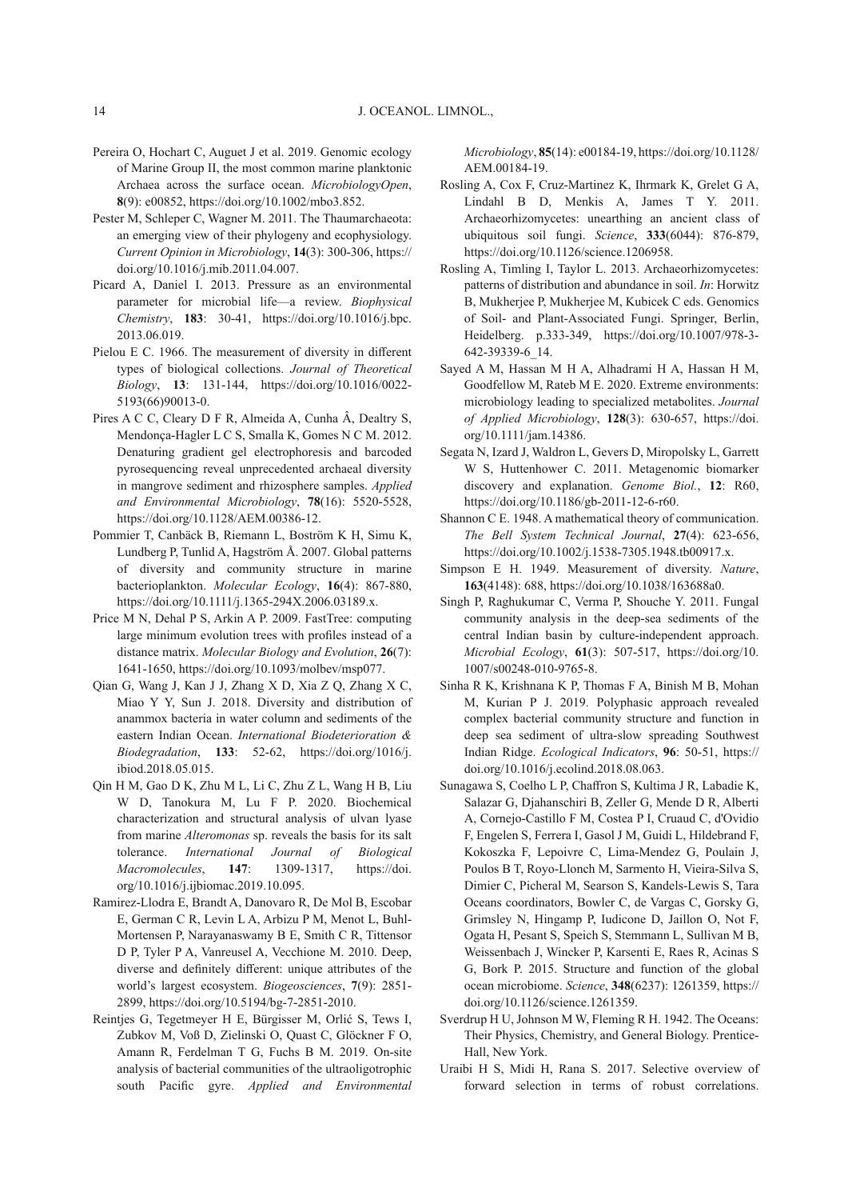- Pereira O, Hochart C, Auguet J et al. 2019. Genomic ecology of Marine Group II, the most common marine planktonic Archaea across the surface ocean. *MicrobiologyOpen*, **8** (9): e00852, https://doi.org/10.1002/mbo3.852.
- Pester M, Schleper C, Wagner M. 2011. The Thaumarchaeota: an emerging view of their phylogeny and ecophysiology. *Current Opinion in Microbiology* , **14** (3): 300-306, https:// doi.org/10.1016/j.mib.2011.04.007.
- Picard A, Daniel I. 2013. Pressure as an environmental parameter for microbial life—a review. *Biophysical Chemistry* , **183** : 30-41, https://doi.org/10.1016/j.bpc. 2013.06.019.
- Pielou E C. 1966. The measurement of diversity in different types of biological collections. *Journal of Theoretical Biology* , **13** : 131-144, https://doi.org/10.1016/0022- 5193(66)90013-0.
- Pires A C C, Cleary D F R, Almeida A, Cunha Â, Dealtry S, Mendonça-Hagler L C S, Smalla K, Gomes N C M. 2012. Denaturing gradient gel electrophoresis and barcoded pyrosequencing reveal unprecedented archaeal diversity in mangrove sediment and rhizosphere samples. *Applied and Environmental Microbiology* , **78** (16): 5520-5528, https://doi.org/10.1128/AEM.00386-12.
- Pommier T, Canbäck B, Riemann L, Boström K H, Simu K, Lundberg P, Tunlid A, Hagström Å. 2007. Global patterns of diversity and community structure in marine bacterioplankton. *Molecular Ecology*, 16(4): 867-880, https://doi.org/10.1111/j.1365-294X.2006.03189.x.
- Price M N, Dehal P S, Arkin A P. 2009. FastTree: computing large minimum evolution trees with profiles instead of a distance matrix. *Molecular Biology and Evolution* , **26** (7): 1641-1650, https://doi.org/10.1093/molbev/msp077.
- Qian G, Wang J, Kan J J, Zhang X D, Xia Z Q, Zhang X C, Miao Y Y, Sun J. 2018. Diversity and distribution of anammox bacteria in water column and sediments of the eastern Indian Ocean. *International Biodeterioration & Biodegradation* , **133** : 52-62, https://doi.org/1016/j. ibiod.2018.05.015.
- Qin H M, Gao D K, Zhu M L, Li C, Zhu Z L, Wang H B, Liu W D, Tanokura M, Lu F P. 2020. Biochemical characterization and structural analysis of ulvan lyase from marine *Alteromonas* sp. reveals the basis for its salt tolerance. *International Journal of Biological Macromolecules* , **147** : 1309-1317, https://doi. org/10.1016/j.ijbiomac.2019.10.095.
- Ramirez-Llodra E, Brandt A, Danovaro R, De Mol B, Escobar E, German C R, Levin L A, Arbizu P M, Menot L, Buhl-Mortensen P, Narayanaswamy B E, Smith C R, Tittensor D P, Tyler P A, Vanreusel A, Vecchione M. 2010. Deep, diverse and definitely different: unique attributes of the world's largest ecosystem. *Biogeosciences*, 7(9): 2851-2899, https://doi.org/10.5194/bg-7-2851-2010.
- Reintjes G, Tegetmeyer H E, Bürgisser M, Orlić S, Tews I, Zubkov M, Voß D, Zielinski O, Quast C, Glöckner F O, Amann R, Ferdelman T G, Fuchs B M. 2019. On-site analysis of bacterial communities of the ultraoligotrophic south Pacific gyre. *Applied and Environmental*

*Microbiology* , **85** (14): e00184-19, https://doi.org/10.1128/ AEM.00184-19.

- Rosling A, Cox F, Cruz-Martinez K, Ihrmark K, Grelet G A, Lindahl B D, Menkis A, James T Y. 2011. Archaeorhizomycetes: unearthing an ancient class of ubiquitous soil fungi. *Science* , **333** (6044): 876-879, https://doi.org/10.1126/science.1206958.
- Rosling A, Timling I, Taylor L. 2013. Archaeorhizomycetes: patterns of distribution and abundance in soil. *In*: Horwitz B, Mukherjee P, Mukherjee M, Kubicek C eds. Genomics of Soil- and Plant-Associated Fungi. Springer, Berlin, Heidelberg. p.333-349, https://doi.org/10.1007/978-3- 642-39339-6\_14.
- Sayed A M, Hassan M H A, Alhadrami H A, Hassan H M, Goodfellow M, Rateb M E. 2020. Extreme environments: microbiology leading to specialized metabolites. *Journal of Applied Microbiology* , **128** (3): 630-657, https://doi. org/10.1111/jam.14386.
- Segata N, Izard J, Waldron L, Gevers D, Miropolsky L, Garrett W S, Huttenhower C. 2011. Metagenomic biomarker discovery and explanation. *Genome Biol.* , **12** : R60, https://doi.org/10.1186/gb-2011-12-6-r60.
- Shannon C E. 1948. A mathematical theory of communication. *The Bell System Technical Journal* , **27** (4): 623-656, https://doi.org/10.1002/j.1538-7305.1948.tb00917.x.
- Simpson E H. 1949. Measurement of diversity. Nature, **163** (4148): 688, https://doi.org/10.1038/163688a0.
- Singh P, Raghukumar C, Verma P, Shouche Y. 2011. Fungal community analysis in the deep-sea sediments of the central Indian basin by culture-independent approach. *Microbial Ecology* , **61** (3): 507-517, https://doi.org/10. 1007/s00248-010-9765-8.
- Sinha R K, Krishnana K P, Thomas F A, Binish M B, Mohan M, Kurian P J. 2019. Polyphasic approach revealed complex bacterial community structure and function in deep sea sediment of ultra-slow spreading Southwest Indian Ridge. *Ecological Indicators* , **96** : 50-51, https:// doi.org/10.1016/j.ecolind.2018.08.063.
- Sunagawa S, Coelho L P, Chaffron S, Kultima J R, Labadie K, Salazar G, Djahanschiri B, Zeller G, Mende D R, Alberti A, Cornejo-Castillo F M, Costea P I, Cruaud C, d'Ovidio F, Engelen S, Ferrera I, Gasol J M, Guidi L, Hildebrand F, Kokoszka F, Lepoivre C, Lima-Mendez G, Poulain J, Poulos B T, Royo-Llonch M, Sarmento H, Vieira-Silva S, Dimier C, Picheral M, Searson S, Kandels-Lewis S, Tara Oceans coordinators, Bowler C, de Vargas C, Gorsky G, Grimsley N, Hingamp P, Iudicone D, Jaillon O, Not F, Ogata H, Pesant S, Speich S, Stemmann L, Sullivan M B, Weissenbach J, Wincker P, Karsenti E, Raes R, Acinas S G, Bork P. 2015. Structure and function of the global ocean microbiome. *Science* , **348** (6237): 1261359, https:// doi.org/10.1126/science.1261359.
- Sverdrup H U, Johnson M W, Fleming R H. 1942. The Oceans: Their Physics, Chemistry, and General Biology. Prentice-Hall, New York.
- Uraibi H S, Midi H, Rana S. 2017. Selective overview of forward selection in terms of robust correlations.